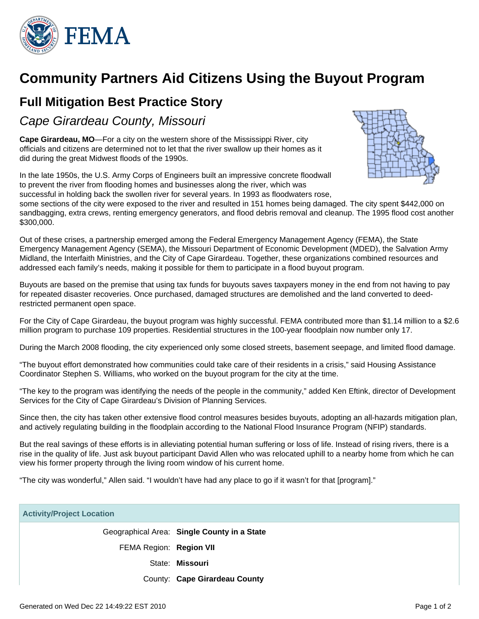

## **Community Partners Aid Citizens Using the Buyout Program**

## **Full Mitigation Best Practice Story**

Cape Girardeau County, Missouri

**Cape Girardeau, MO**—For a city on the western shore of the Mississippi River, city officials and citizens are determined not to let that the river swallow up their homes as it did during the great Midwest floods of the 1990s.

In the late 1950s, the U.S. Army Corps of Engineers built an impressive concrete floodwall to prevent the river from flooding homes and businesses along the river, which was successful in holding back the swollen river for several years. In 1993 as floodwaters rose,



some sections of the city were exposed to the river and resulted in 151 homes being damaged. The city spent \$442,000 on sandbagging, extra crews, renting emergency generators, and flood debris removal and cleanup. The 1995 flood cost another \$300,000.

Out of these crises, a partnership emerged among the Federal Emergency Management Agency (FEMA), the State Emergency Management Agency (SEMA), the Missouri Department of Economic Development (MDED), the Salvation Army Midland, the Interfaith Ministries, and the City of Cape Girardeau. Together, these organizations combined resources and addressed each family's needs, making it possible for them to participate in a flood buyout program.

Buyouts are based on the premise that using tax funds for buyouts saves taxpayers money in the end from not having to pay for repeated disaster recoveries. Once purchased, damaged structures are demolished and the land converted to deedrestricted permanent open space.

For the City of Cape Girardeau, the buyout program was highly successful. FEMA contributed more than \$1.14 million to a \$2.6 million program to purchase 109 properties. Residential structures in the 100-year floodplain now number only 17.

During the March 2008 flooding, the city experienced only some closed streets, basement seepage, and limited flood damage.

"The buyout effort demonstrated how communities could take care of their residents in a crisis," said Housing Assistance Coordinator Stephen S. Williams, who worked on the buyout program for the city at the time.

"The key to the program was identifying the needs of the people in the community," added Ken Eftink, director of Development Services for the City of Cape Girardeau's Division of Planning Services.

Since then, the city has taken other extensive flood control measures besides buyouts, adopting an all-hazards mitigation plan, and actively regulating building in the floodplain according to the National Flood Insurance Program (NFIP) standards.

But the real savings of these efforts is in alleviating potential human suffering or loss of life. Instead of rising rivers, there is a rise in the quality of life. Just ask buyout participant David Allen who was relocated uphill to a nearby home from which he can view his former property through the living room window of his current home.

"The city was wonderful," Allen said. "I wouldn't have had any place to go if it wasn't for that [program]."